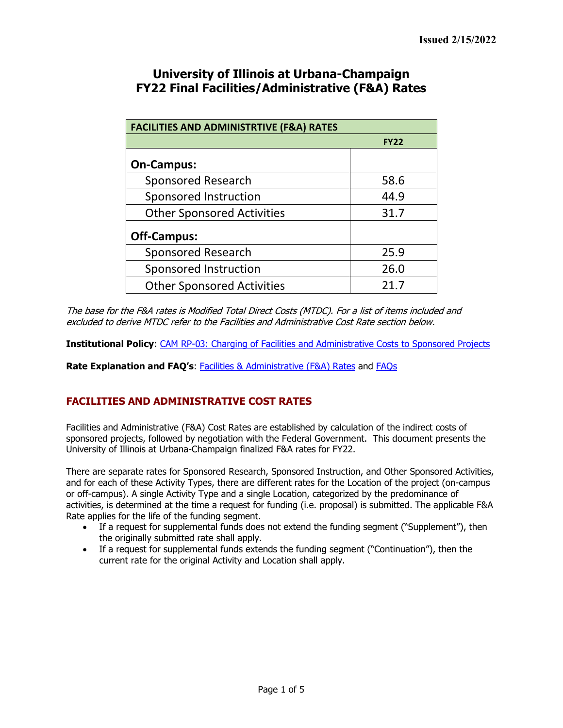## **University of Illinois at Urbana-Champaign FY22 Final Facilities/Administrative (F&A) Rates**

| <b>FACILITIES AND ADMINISTRTIVE (F&amp;A) RATES</b> |             |  |  |  |  |  |
|-----------------------------------------------------|-------------|--|--|--|--|--|
|                                                     | <b>FY22</b> |  |  |  |  |  |
| <b>On-Campus:</b>                                   |             |  |  |  |  |  |
| <b>Sponsored Research</b>                           | 58.6        |  |  |  |  |  |
| Sponsored Instruction                               | 44.9        |  |  |  |  |  |
| <b>Other Sponsored Activities</b>                   | 31.7        |  |  |  |  |  |
| <b>Off-Campus:</b>                                  |             |  |  |  |  |  |
| <b>Sponsored Research</b>                           | 25.9        |  |  |  |  |  |
| Sponsored Instruction                               | 26.0        |  |  |  |  |  |
| <b>Other Sponsored Activities</b>                   | 21.7        |  |  |  |  |  |

The base for the F&A rates is Modified Total Direct Costs (MTDC). For a list of items included and excluded to derive MTDC refer to the Facilities and Administrative Cost Rate section below.

**Institutional Policy**: [CAM RP-03: Charging of Facilities and Administrative Costs to Sponsored Projects](https://cam.illinois.edu/policies/rp-03/)

**Rate Explanation and FAQ's**: [Facilities & Administrative](https://www.obfs.uillinois.edu/government-costing/facilities-administrative/) (F&A) Rates and [FAQs](https://www.obfs.uillinois.edu/government-costing/faqs/)

### **FACILITIES AND ADMINISTRATIVE COST RATES**

Facilities and Administrative (F&A) Cost Rates are established by calculation of the indirect costs of sponsored projects, followed by negotiation with the Federal Government. This document presents the University of Illinois at Urbana-Champaign finalized F&A rates for FY22.

There are separate rates for Sponsored Research, Sponsored Instruction, and Other Sponsored Activities, and for each of these Activity Types, there are different rates for the Location of the project (on-campus or off-campus). A single Activity Type and a single Location, categorized by the predominance of activities, is determined at the time a request for funding (i.e. proposal) is submitted. The applicable F&A Rate applies for the life of the funding segment.

- If a request for supplemental funds does not extend the funding segment ("Supplement"), then the originally submitted rate shall apply.
- If a request for supplemental funds extends the funding segment ("Continuation"), then the current rate for the original Activity and Location shall apply.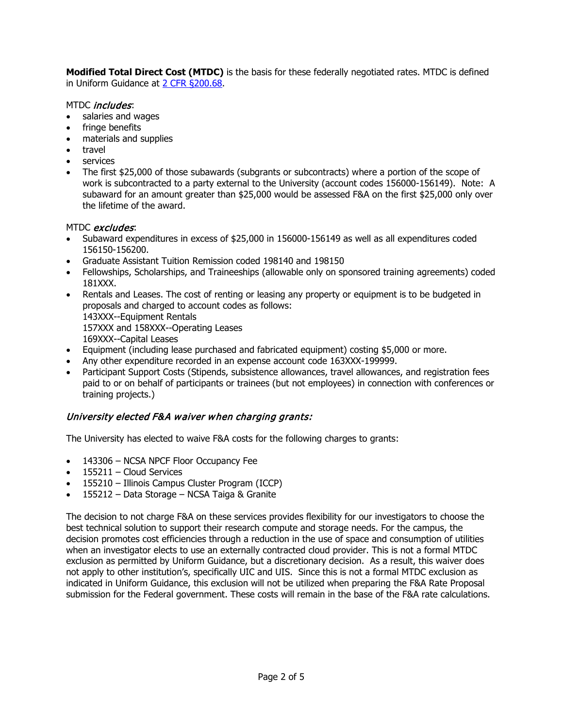**Modified Total Direct Cost (MTDC)** is the basis for these federally negotiated rates. MTDC is defined in Uniform Guidance at [2 CFR §200.68.](https://www.gpo.gov/fdsys/pkg/CFR-2014-title2-vol1/xml/CFR-2014-title2-vol1-sec200-68.xml)

#### MTDC *includes*:

- salaries and wages
- fringe benefits
- materials and supplies
- travel
- services
- The first \$25,000 of those subawards (subgrants or subcontracts) where a portion of the scope of work is subcontracted to a party external to the University (account codes 156000-156149). Note: A subaward for an amount greater than \$25,000 would be assessed F&A on the first \$25,000 only over the lifetime of the award.

#### MTDC excludes:

- Subaward expenditures in excess of \$25,000 in 156000-156149 as well as all expenditures coded 156150-156200.
- Graduate Assistant Tuition Remission coded 198140 and 198150
- Fellowships, Scholarships, and Traineeships (allowable only on sponsored training agreements) coded 181XXX.
- Rentals and Leases. The cost of renting or leasing any property or equipment is to be budgeted in proposals and charged to account codes as follows:
	- 143XXX--Equipment Rentals

157XXX and 158XXX--Operating Leases

- 169XXX--Capital Leases
- Equipment (including lease purchased and fabricated equipment) costing \$5,000 or more.
- Any other expenditure recorded in an expense account code 163XXX-199999.
- Participant Support Costs (Stipends, subsistence allowances, travel allowances, and registration fees paid to or on behalf of participants or trainees (but not employees) in connection with conferences or training projects.)

#### University elected F&A waiver when charging grants:

The University has elected to waive F&A costs for the following charges to grants:

- 143306 NCSA NPCF Floor Occupancy Fee
- $\bullet$  155211 Cloud Services
- 155210 Illinois Campus Cluster Program (ICCP)
- 155212 Data Storage NCSA Taiga & Granite

The decision to not charge F&A on these services provides flexibility for our investigators to choose the best technical solution to support their research compute and storage needs. For the campus, the decision promotes cost efficiencies through a reduction in the use of space and consumption of utilities when an investigator elects to use an externally contracted cloud provider. This is not a formal MTDC exclusion as permitted by Uniform Guidance, but a discretionary decision. As a result, this waiver does not apply to other institution's, specifically UIC and UIS. Since this is not a formal MTDC exclusion as indicated in Uniform Guidance, this exclusion will not be utilized when preparing the F&A Rate Proposal submission for the Federal government. These costs will remain in the base of the F&A rate calculations.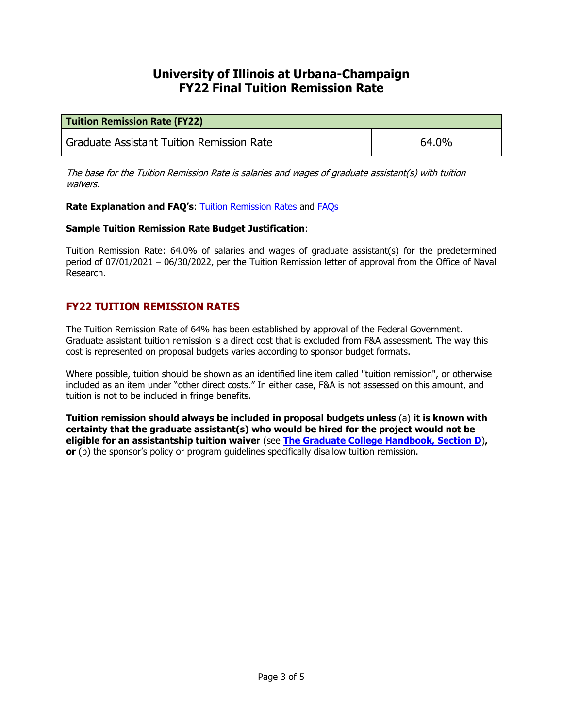# **University of Illinois at Urbana-Champaign FY22 Final Tuition Remission Rate**

| <b>Tuition Remission Rate (FY22)</b>      |       |  |  |  |  |  |
|-------------------------------------------|-------|--|--|--|--|--|
| Graduate Assistant Tuition Remission Rate | 64.0% |  |  |  |  |  |

The base for the Tuition Remission Rate is salaries and wages of graduate assistant(s) with tuition waivers.

**Rate Explanation and FAQ's: [Tuition Remission Rates](https://www.obfs.uillinois.edu/government-costing/tuition-remission/) and [FAQs](https://www.obfs.uillinois.edu/government-costing/faqs/)** 

#### **Sample Tuition Remission Rate Budget Justification**:

Tuition Remission Rate: 64.0% of salaries and wages of graduate assistant(s) for the predetermined period of 07/01/2021 – 06/30/2022, per the Tuition Remission letter of approval from the Office of Naval Research.

## **FY22 TUITION REMISSION RATES**

The Tuition Remission Rate of 64% has been established by approval of the Federal Government. Graduate assistant tuition remission is a direct cost that is excluded from F&A assessment. The way this cost is represented on proposal budgets varies according to sponsor budget formats.

Where possible, tuition should be shown as an identified line item called "tuition remission", or otherwise included as an item under "other direct costs." In either case, F&A is not assessed on this amount, and tuition is not to be included in fringe benefits.

**Tuition remission should always be included in proposal budgets unless** (a) **it is known with certainty that the graduate assistant(s) who would be hired for the project would not be eligible for an assistantship tuition waiver** (see **[The Graduate College Handbook, Section D](https://grad.illinois.edu/handbooks-policies)**)**, or** (b) the sponsor's policy or program guidelines specifically disallow tuition remission.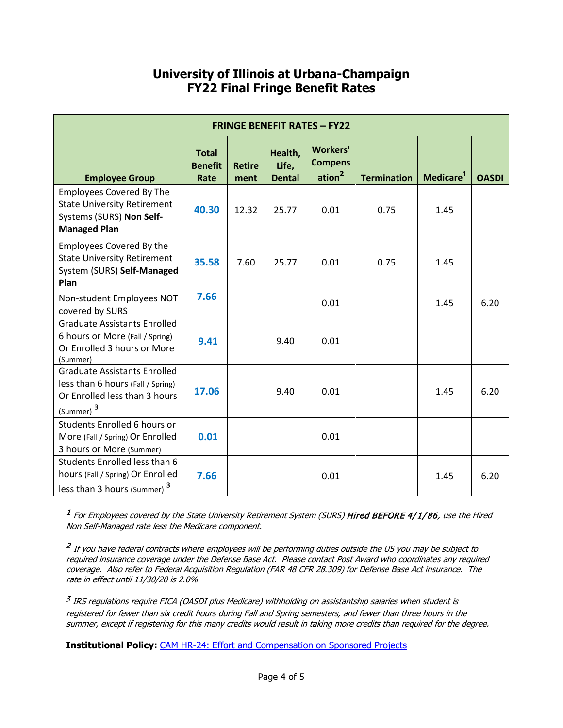# **University of Illinois at Urbana-Champaign FY22 Final Fringe Benefit Rates**

| <b>FRINGE BENEFIT RATES - FY22</b>                                                                                                 |                                        |                       |                                   |                                                         |                    |                       |              |  |  |
|------------------------------------------------------------------------------------------------------------------------------------|----------------------------------------|-----------------------|-----------------------------------|---------------------------------------------------------|--------------------|-----------------------|--------------|--|--|
| <b>Employee Group</b>                                                                                                              | <b>Total</b><br><b>Benefit</b><br>Rate | <b>Retire</b><br>ment | Health,<br>Life,<br><b>Dental</b> | <b>Workers'</b><br><b>Compens</b><br>ation <sup>2</sup> | <b>Termination</b> | Medicare <sup>1</sup> | <b>OASDI</b> |  |  |
| <b>Employees Covered By The</b><br><b>State University Retirement</b><br>Systems (SURS) Non Self-<br><b>Managed Plan</b>           | 40.30                                  | 12.32                 | 25.77                             | 0.01                                                    | 0.75               | 1.45                  |              |  |  |
| <b>Employees Covered By the</b><br><b>State University Retirement</b><br>System (SURS) Self-Managed<br>Plan                        | 35.58                                  | 7.60                  | 25.77                             | 0.01                                                    | 0.75               | 1.45                  |              |  |  |
| Non-student Employees NOT<br>covered by SURS                                                                                       | 7.66                                   |                       |                                   | 0.01                                                    |                    | 1.45                  | 6.20         |  |  |
| <b>Graduate Assistants Enrolled</b><br>6 hours or More (Fall / Spring)<br>Or Enrolled 3 hours or More<br>(Summer)                  | 9.41                                   |                       | 9.40                              | 0.01                                                    |                    |                       |              |  |  |
| <b>Graduate Assistants Enrolled</b><br>less than 6 hours (Fall / Spring)<br>Or Enrolled less than 3 hours<br>(Summer) <sup>3</sup> | 17.06                                  |                       | 9.40                              | 0.01                                                    |                    | 1.45                  | 6.20         |  |  |
| Students Enrolled 6 hours or<br>More (Fall / Spring) Or Enrolled<br>3 hours or More (Summer)                                       | 0.01                                   |                       |                                   | 0.01                                                    |                    |                       |              |  |  |
| Students Enrolled less than 6<br>hours (Fall / Spring) Or Enrolled<br>less than 3 hours (Summer) <sup>3</sup>                      | 7.66                                   |                       |                                   | 0.01                                                    |                    | 1.45                  | 6.20         |  |  |

<sup>1</sup> For Employees covered by the State University Retirement System (SURS) Hired BEFORE 4/1/86, use the Hired Non Self-Managed rate less the Medicare component.

<sup>2</sup> If you have federal contracts where employees will be performing duties outside the US you may be subject to required insurance coverage under the Defense Base Act. Please contact Post Award who coordinates any required coverage. Also refer to Federal Acquisition Regulation (FAR 48 CFR 28.309) for Defense Base Act insurance. The rate in effect until 11/30/20 is 2.0%

<sup>3</sup> IRS regulations require FICA (OASDI plus Medicare) withholding on assistantship salaries when student is registered for fewer than six credit hours during Fall and Spring semesters, and fewer than three hours in the summer, except if registering for this many credits would result in taking more credits than required for the degree.

**Institutional Policy:** [CAM HR-24: Effort and Compensation on Sponsored Projects](https://cam.illinois.edu/policies/hr-24/)